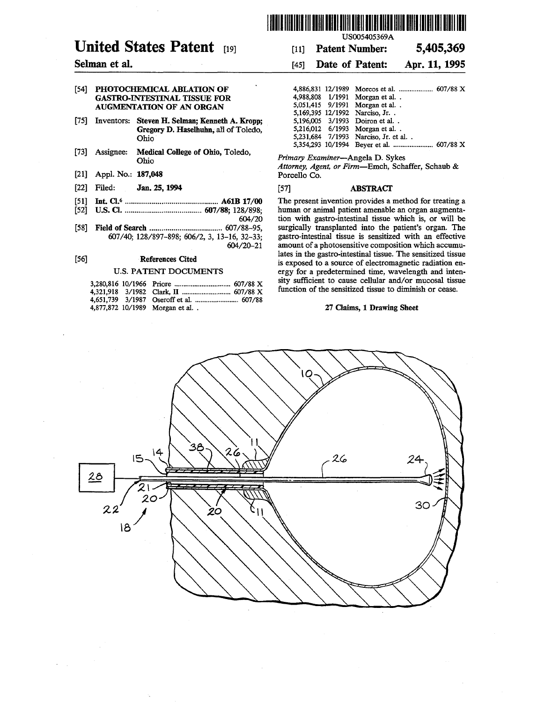# **United States Patent c191**

### **Selman et al.**

#### [54] **PHOTOCHEMICAL ABLATION OF GASTRO-INTESTINAL TISSUE FOR AUGMENTATION OF AN ORGAN**

- [75] Inventors: **Steven H. Selman; Kenneth A. Kropp; Gregory D. Haselhuhn;** all of Toledo, Ohio
- [73] Assignee: **Medical College of Ohio,** Toledo, Ohio
- [21] Appl. **No.: 187,048**
- [22] Filed: **Jan. 25, 1994**
- [51] **Int. Cl.<sup>6</sup>**.............................................. **A61B 17/00**
- [52] **U.S. Cl ....................................... 607/88;** 128/898; 604/20
- [58] **Field of Search ....................................** 607/88-95, 607/40; 128/897-898; 606/2, 3, 13-16, 32-33; 604/20-21

#### [56] **References Cited**

#### **U.S. PATENT DOCUMENTS**

| 4,651,739 3/1987 Oseroff et al.  607/88 |
|-----------------------------------------|
| 4,877,872 10/1989 Morgan et al          |
|                                         |



US005405369A

## [11] **Patent Number: 5,405,369**

## [45] **Date of Patent: Apr. 11, 1995**

|  | 4,988,808 1/1991 Morgan et al. .       |
|--|----------------------------------------|
|  | 5.051.415 9/1991 Morgan et al          |
|  | 5,169,395 12/1992 Narciso, Jr. .       |
|  | 5,196,005 3/1993 Doiron et al. .       |
|  | 5,216,012 6/1993 Morgan et al.         |
|  | 5,231,684 7/1993 Narciso, Jr. et al. . |
|  |                                        |
|  |                                        |

*Primary Examiner-Angela* D. Sykes

*Attorney, Agent, or Firm-Emch,* Schaffer, Schaub & Porcello Co.

#### [57] **ABSTRACT**

The present invention provides a method for treating a human or animal patient amenable an organ augmentation with gastro-intestinal tissue which is, or will be surgically transplanted into the patient's organ. The gastro-intestinal tissue is sensitized with an effective amount of a photosensitive composition which accumulates in the gastro-intestinal tissue. The sensitized tissue is exposed to a source of electromagnetic radiation energy for a predetermined time, wavelength and intensity sufficient to cause cellular and/or mucosal tissue function of the sensitized tissue to diminish or cease.

#### **27 Claims, 1 Drawing Sheet**

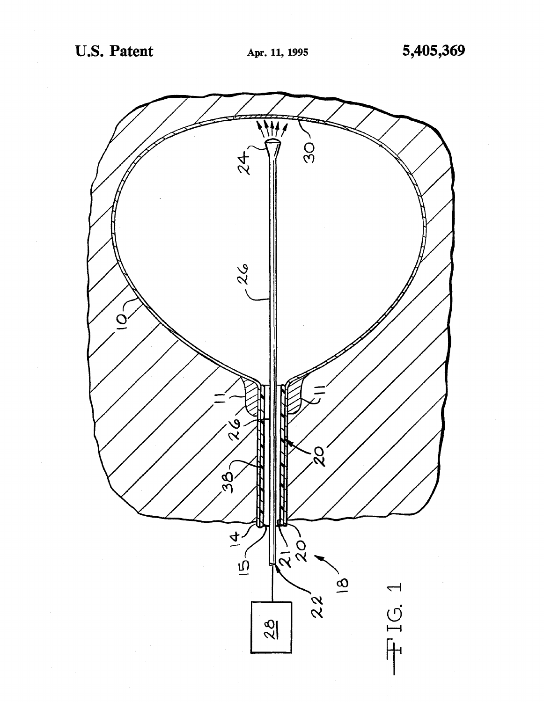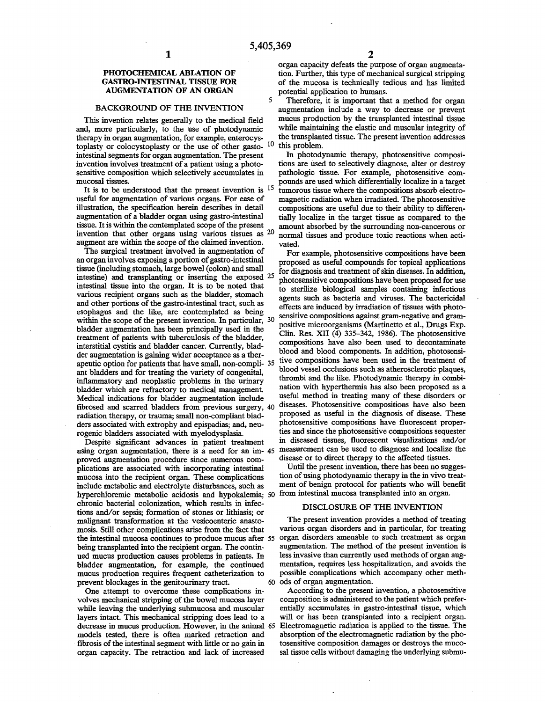5

#### **PHOTOCHEMICAL ABLATION OF GASTRO-INTESTINAL TISSUE FOR AUGMENTATION OF AN ORGAN**

#### **BACKGROUND OF THE INVENTION**

This invention relates generally to the medical field and, more particularly, to the use of photodynamic therapy in organ augmentation, for example, enterocystoplasty or colocystoplasty or the use of other gasto- 10 intestinal segments for organ augmentation. The present invention involves treatment of a patient using a photosensitive composition which selectively accumulates in mucosal tissues.

It is to be understood that the present invention is  $15$ useful for augmentation of various organs. For ease of illustration, the specification herein describes in detail augmentation of a bladder organ using gastro-intestinal tissue. It is within the contemplated scope of the present invention that other organs using various tissues as 20 augment are within the scope of the claimed invention.

The surgical treatment involved in augmentation of an organ involves exposing a portion of gastro-intestinal tissue (including stomach, large bowel (colon) and small intestine) and transplanting or inserting the exposed 25 intestinal tissue into the organ. It is to be noted that various recipient organs such as the bladder, stomach and other portions of the gastro-intestinal tract, such as esophagus and the like, are contemplated as being within the scope of the present invention. In particular, 30 bladder augmentation has been principally used in the treatment of patients with tuberculosis of the bladder, interstitial cystitis and bladder cancer. Currently, bladder augmentation is gaining wider acceptance as a therapeutic option for patients that have small, non-compli- 35 ant bladders and for treating the variety of congenital, inflammatory and neoplastic problems in the urinary bladder which are refractory to medical management. Medical indications for bladder augmentation include fibrosed and scarred bladders from previous surgery, 40 radiation therapy, or trauma; small non-compliant bladders associated with extrophy and epispadias; and, neurogenic bladders associated with myelodysplasia.

hyperchloremic metabolic acidosis and hypokalemia; 50 from intestinal mucosa transplanted into an organ. Despite significant advances in patient treatment using organ augmentation, there is a need for an im- 45 proved augmentation procedure since numerous complications are associated with incorporating intestinal mucosa into the recipient organ. These complications include metabolic and electrolyte disturbances, such as chronic bacterial colonization, which results in infections and/or sepsis; formation of stones or lithiasis; or malignant transformation at the vesicoenteric anastomosis. Still other complications arise from the fact that the intestinal mucosa continues to produce mucus after 55 being transplanted into the recipient organ. The continued mucus production causes problems in patients. In bladder augmentation, for example, the continued mucus production requires frequent catheterization to prevent blockages in the genitourinary tract. 60 ods of organ augmentation.

One attempt to overcome these complications involves mechanical stripping of the bowel mucosa layer while leaving the underlying submucosa and muscular layers intact. This mechanical stripping does lead to a decrease in mucus production. However, in the animal 65 models tested, there is often marked retraction and fibrosis of the intestinal segment with little or no gain in organ capacity. The retraction and lack of increased

organ capacity defeats the purpose of organ augmentation. Further, this type of mechanical surgical stripping of the mucosa is technically tedious and has limited potential application to humans.

Therefore, it is important that a method for organ augmentation include a way to decrease or prevent mucus production by the transplanted intestinal tissue while maintaining the elastic and muscular integrity of the transplanted tissue. The present invention addresses this problem.

In photodynamic therapy, photosensitive compositions are used to selectively diagnose, alter or destroy pathologic tissue. For example, photosensitive comtumorous tissue where the compositions absorb electromagnetic radiation when irradiated. The photosensitive compositions are useful due to their ability to differentially localize in the target tissue as compared to the amount absorbed by the surrounding non-cancerous or normal tissues and produce toxic reactions when activated.

For example, photosensitive compositions have been proposed as useful compounds for topical applications for diagnosis and treatment of skin diseases. In addition, photosensitive compositions have been proposed for use to sterilize biological samples containing infectious agents such as bacteria and viruses. The bactericidal effects are induced by irradiation of tissues with photosensitive compositions against gram-negative and grampositive microorganisms (Martinetto et al., Drugs Exp. Clin. Res. XII (4) 335-342, 1986). The photosensitive compositions have also been used to decontaminate blood and blood components. In addition, photosensitive compositions have been used in the treatment of blood vessel occlusions such as atherosclerotic plaques, thrombi and the like. Photodynamic therapy in combination with hyperthermia has also been proposed as a useful method in treating many of these disorders or diseases. Photosensitive compositions have also been proposed as useful in the diagnosis of disease. These photosensitive compositions have fluorescent properties and since the photosensitive compositions sequester in diseased tissues, fluorescent visualizations and/or measurement can be used to diagnose and localize the disease or to direct therapy to the affected tissues.

Until the present invention, there has been no suggestion of using photodynamic therapy in the in vivo treatment of benign protocol for patients who will benefit

#### DISCLOSURE OF THE INVENTION

The present invention provides a method of treating various organ disorders and in particular, for treating organ disorders amenable to such treatment as organ augmentation. The method of the present invention is less invasive than currently used methods of organ augmentation, requires less hospitalization, and avoids the possible complications which accompany other meth-

According to the present invention, a photosensitive composition is administered to the patient which preferentially accumulates in gastro-intestinal tissue, which will or has been transplanted into a recipient organ. Electromagnetic radiation is applied to the tissue. The absorption of the electromagnetic radiation by the photosensitive composition damages or destroys the mucosal tissue cells without damaging the underlying submu-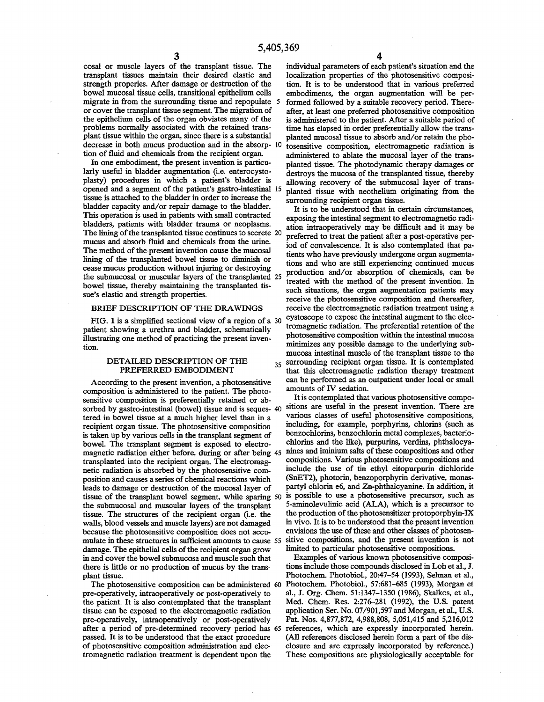cosal or muscle layers of the transplant tissue. The transplant tissues maintain their desired elastic and strength properies. After damage or destruction of the bowel mucosal tissue cells, transitional epithelium cells migrate in from the surrounding tissue and repopulate 5 or cover the transplant tissue segment. The migration of the epithelium cells of the organ obviates many of the problems normally associated with the retained transplant tissue within the organ, since there is a substantial decrease in both mucus production and in the absorption of fluid and chemicals from the recipient organ.

In one embodiment, the present invention is particularly useful in bladder augmentation (i.e. enterocystoplasty) procedures in which a patient's bladder is opened and a segment of the patient's gastro-intestinal tissue is attached to the bladder in order to increase the bladder capacity and/or repair damage to the bladder. This operation is used in patients with small contracted bladders, patients with bladder trauma or neoplasms. The lining of the transplanted tissue continues to secrete 20 mucus and absorb fluid and chemicals from the urine. The method of the present invention cause the mucosal lining of the transplanted bowel tissue to diminish or cease mucus production without injuring or destroying the submucosal or muscular layers of the transplanted 25 bowel tissue, thereby maintaining the transplanted tissue's elastic and strength properties.

#### BRIEF DESCRIPTION OF THE DRAWINGS

FIG. 1 is a simplified sectional view of a region of a 30 patient showing a urethra and bladder, schematically illustrating one method of practicing the present invention.

According to the present invention, a photosensitive can be performed as an ounce it is administered to the patient. The photosensity amounts of IV sedation. composition is administered to the patient. The photo-<br>sensitive composition is preferentially retained or abundled in a list contemplated that various photosensitive composensitive composition is preferentially retained or ab-<br>sorbed by gastro-intestinal (bowel) tissue and is seques. 40 sitions are useful in the present invention. There are sorbed by gastro-intestinal (bowel) tissue and is seques- 40 sitions are useful in the present invention. There are<br>tered in howel tissue at a much higher level than in a various classes of useful photosensitive compositio tered in bowel tissue at a much higher level than in a various classes of useful photosensitive compositions,<br>recipient organ tissue. The photosensitive composition including, for example, porphyrins, chlorins (such as recipient organ tissue. The photosensitive composition including, for example, porphyrins, chlorins (such as<br>is taken up by various cells in the transplant segment of benzochlorins, benzochlorin metal complexes, bacterio is taken up by various cells in the transplant segment of benzochlorins, benzochlorin metal complexes, bacterio-<br>howel The transplant segment is exposed to electro-<br>chlorins and the like), purpurins, verdins, phthalocyabowel. The transplant segment is exposed to electromagnetic radiation either before, during or after being 45 nines and iminium salts of these compositions and other<br>transplanted into the recipient organ. The electromag-<br>compositions. Various photosensitive compositions an transplanted into the recipient organ. The electromag-<br>netic radiation is absorbed by the photosensitive com-<br>include the use of tin ethyl eitopurpurin dichloride netic radiation is absorbed by the photosensitive com-<br>notion and causes a series of chemical reactions which (SnET2), photorin, benzoporphyrin derivative, monasposition and causes a series of chemical reactions which (SnET2), photorin, benzoporphyrin derivative, monas-<br>leads to damage or destruction of the mucosal laver of partyl chlorin e6, and Zn-phthalcyanine. In addition, it leads to damage or destruction of the mucosal layer of partyl chlorin e6, and Zn-phthalcyanine. In addition, it<br>tissue of the transplant bowel segment, while sparing 50 is possible to use a photosensitive precursor, such a tissue of the transplant bowel segment, while sparing 50 is possible to use a photosensitive precursor, such as<br>the submucosal and muscular layers of the transplant 5-aminolevulinic acid (ALA), which is a precursor to the submucosal and muscular layers of the transplant 5-aminolevulinic acid (ALA), which is a precursor to tissue. The structures of the recipient organ (i.e. the the production of the photosensitizer protoporphyin-IX tissue. The structures of the recipient organ (i.e. the walls, blood vessels and muscle layers) are not damaged in vivo. It is to be understood that the present invention because the photosensitive composition does not accu-<br>envisions the use of these and other classes of photo because the photosensitive composition does not accu-<br>mulate in these structures in sufficient amounts to cause 55 sitive compositions, and the present invention is not mulate in these structures in sufficient amounts to cause 55 sitive compositions, and the present invention is damage. The epithelial cells of the recipient organ grow limited to particular photosensitive compositions. damage. The epithelial cells of the recipient organ grow limited to particular photosensitive compositions.<br>in and cover the howel submucosa and muscle such that Examples of various known photosensitive composiin and cover the bowel submucosa and muscle such that Examples of various known photosensitive composition-<br>there is little or no production of mucus by the trans-<br>tions include those compounds disclosed in Loh et al., J. there is little or no production of mucus by the trans-<br>plant tissue.

pre-operatively, intraoperatively or post-operatively to al., J. Org. Chem. 51:1347-1350 (1986), Skalkos, et al., the patient. It is also contemplated that the transplant Med. Chem. Res. 2:276-281 (1992), the U.S. patent tissue can be exposed to the electromagnetic radiation application Ser. No. 07/901.597 and Morgan, et al., U.S. tissue can be exposed to the electromagnetic radiation pre-operatively, intraoperatively or post-operatively Pat. Nos. 4,877,872, 4,988,808, 5,051,415 and 5,216,012 after a period of pre-determined recovery period has 65 references, which are expressly incorporated herein. passed. It is to be understood that the exact procedure (All references disclosed herein form a part of the disof photosensitive composition administration and elec-<br>tromagnetic radiation treatment is dependent upon the These compositions are physiologically acceptable for

individual parameters of each patient's situation and the localization properties of the photosensitive composition. It is to be understood that in various preferred embodiments, the organ augmentation will be performed followed by a suitable recovery period. Thereafter, at least one preferred photosensitive composition is administered to the patient. After a suitable period of time has elapsed in order preferentially allow the transplanted mucosal tissue to absorb and/or retain the pho-10 tosensitive composition, electromagnetic radiation is administered to ablate the mucosal layer of the transplanted tissue. The photodynamic therapy damages or destroys the mucosa of the transplanted tissue, thereby allowing recovery of the submucosal layer of transplanted tissue with neothelium originating from the surrounding recipient organ tissue.

It is to be understood that in certain circumstances, exposing the intestinal segment to electromagnetic radiation intraoperatively may be difficult and it may be preferred to treat the patient after a post-operative period of convalescence. It is also contemplated that patients who have previously undergone organ augmentations and who are still experiencing continued mucus production and/or absorption of chemicals, can be treated with the method of the present invention. In such situations, the organ augmentation patients may receive the photosensitive composition and thereafter, receive the electromagnetic radiation treatment using a cystoscope to expose the intestinal augment to the electromagnetic radiation. The preferential retention of the photosensitive composition within the intestinal mucosa minimizes any possible damage to the underlying submucosa intestinal muscle of the transplant tissue to the DETAILED DESCRIPTION OF THE 35 surrounding recipient organ tissue. It is contemplated<br>PREFERRED EMBODIMENT that this electromagnetic radiation therapy treatment that this electromagnetic radiation therapy treatment can be performed as an outpatient under local or small

Photochem. Photobiol., 20:47-54 (1993), Selman et al., The photosensitive composition can be administered 60 Photochem. Photobiol., 57:681-685 (1993), Morgan et These compositions are physiologically acceptable for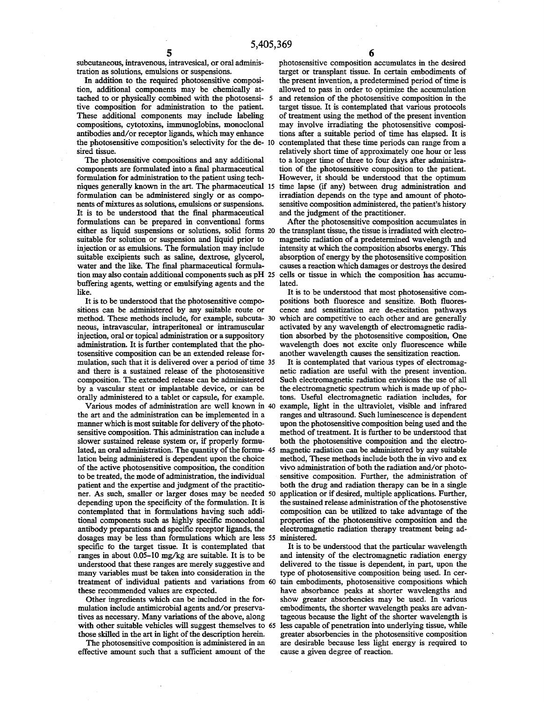subcutaneous, intravenous, intravesical, or oral administration as solutions, emulsions or suspensions.

In addition to the required photosensitive composition, additional components may be chemically attached to or physically combined with the photosensi- *5*  tive composition for administration to the patient. These additional components may include labeling compositions, cytotoxins, immunoglobins, monoclonal antibodies and/or receptor ligands, which may enhance the photosensitive composition's selectivity for the de- 10 sired tissue.

The photosensitive compositions and any additional components are formulated into a final pharmaceutical formulation for administration to the patient using techniques generally known in the art. The pharmaceutical 15 formulation can be administered singly or as components of mixtures as solutions, emulsions or suspensions. It is to be understood that the final pharmaceutical formulations can be prepared in conventional forms either as liquid suspensions or solutions, solid forms 20 suitable for solution or suspension and liquid prior to injection or as emulsions. The formulation may include suitable excipients such as saline, dextrose, glycerol, water and the like. The final pharmaceutical formulation may also contain additional components such as pH 25 buffering agents, wetting or emulsifying agents and the like.

It is to be understood that the photosensitive compositions can be administered by any suitable route or method. These methods include, for example, subcuta- 30 neous, intravascular, intraperitoneal or intramuscular injection, oral or topical administration or a suppository administration. It is further contemplated that the photosensitive composition can be an extended release formulation, such that it is delivered over a period of time 35 and there is a sustained release of the photosensitive composition. The extended release can be administered by a vascular stent or implantable device, or can be orally administered to a tablet or capsule, for example.

Various modes of administration are well known in 40 the art and the administration can be implemented in a manner which is most suitable for delivery of the photosensitive composition. This administration can include a slower sustained release system or, if properly formulated, an oral administration. The quantity of the formu- 45 lation being administered is dependent upon the choice of the active photosensitive composition, the condition to be treated, the mode of administration, the individual patient and the expertise and judgment of the practitioner. As such, smaller or larger doses may be needed 50 depending upon the specificity of the formulation. It is contemplated that in formulations having such additional components such as highly specific monoclonal antibody preparations and specific receptor ligands, the dosages may be less than formulations which are less *55*  specific fo the target tissue. It is contemplated that ranges in about 0.05-10 mg/kg are suitable. It is to be understood that these ranges are merely suggestive and many variables must be taken into consideration in the treatment of individual patients and variations from 60 these recommended values are expected.

Other ingredients which can be included in the formulation include antimicrobial agents and/or preservatives as necessary. Many variations of the above, along with other suitable vehicles will suggest themselves to 65 those skilled in the art in light of the description herein.

The photosensitive composition is administered in an effective amount such that a sufficient amount of the

photosensitive composition accumulates in the desired target or transplant tissue. In certain embodiments of the present invention, a predetermined period of time is allowed to pass in order to optimize the accumulation and retension of the photosensitive composition in the target tissue. It is contemplated that various protocols of treatment using the method of the present invention may involve irradiating the photosensitive compositions after a suitable period of time has elapsed. It is contemplated that these time periods can range from a relatively short time of approximately one hour or less to a longer time of three to four days after administration of the photosensitive composition to the patient. **However,** it should be understood that the optimum time lapse (if any) between drug administration and irradiation depends on the type and amount of photosensitive composition administered, the patient's history and the judgment of the practitioner.

After the photosensitive composition accumulates in the transplant tissue, the tissue is irradiated with electromagnetic radiation of a predetermined wavelength and intensity at which the composition absorbs energy. This absorption of energy by the photosensitive composition causes a reaction which damages or destroys the desired cells or tissue in which the composition has accumulated.

It is to be understood that most photosensitive compositions both fluoresce and sensitize. Both fluorescence and sensitization are de-excitation pathways which are competitive to each other and are generally activated by any wavelength of electromagnetic radiation absorbed by the photosensitive composition, One wavelength does not excite only fluorescence while another wavelength causes the sensitization reaction.

It is contemplated that various types of electromagnetic radiation are useful with the present invention. Such electromagnetic radiation envisions the use of all the electromagnetic spectrum which is made up of photons. Useful electromagnetic radiation includes, for example, light in the ultraviolet, visible and infrared ranges and ultrasound. Such luminescence is dependent upon the photosensitive composition being used and the method of treatment. It is further to be understood that both the photosensitive composition and the electromagnetic radiation can be administered by any suitable method, These methods include both the in vivo and ex vivo administration of both the radiation and/or photosensitive composition. Further, the administration of both the drug and radiation therapy can be in a single application or if desired, multiple applications. Further, the sustained release administration of the photosenstive composition can be utilized to take advantage of the properties of the photosensitive composition and the electromagnetic radiation therapy treatment being administered.

It is to be understood that the particular wavelength and intensity of the electromagnetic radiation energy delivered to the tissue is dependent, in part, upon the type of photosensitive composition being used. In certain embodiments, photosensitive compositions which have absorbance peaks at shorter wavelengths and show greater absorbencies may be used. In various embodiments, the shorter wavelength peaks are advantageous because the light of the shorter wavelength is less capable of penetration into underlying tissue, while greater absorbencies in the photosensitive composition are desirable because less light energy is required to cause a given degree of reaction.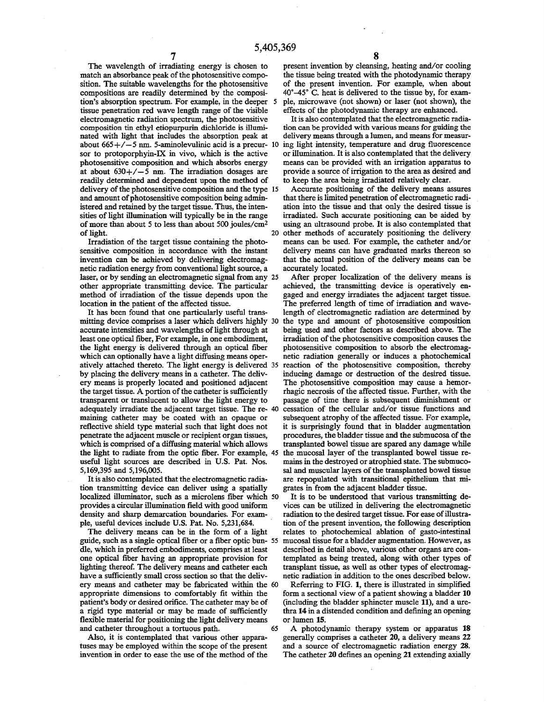The wavelength of irradiating energy is chosen to match an absorbance peak of the photosensitive composition. The suitable wavelengths for the photosensitive compositions are readily determined by the composition's absorption spectrum. For example, in the deeper *5*  tissue penetration red wave length range of the visible electromagnetic radiation spectrum, the photosensitive composition tin ethyl etiopurpurin dichloride is illuminated with light that includes the absorption peak at about  $665+/-5$  nm. 5-aminolevulinic acid is a precur- 10 sor to protoporphyin-IX in vivo, which is the active photosensitive composition and which absorbs energy at about  $630+/-5$  nm. The irradiation dosages are readily determined and dependent upon the method of delivery of the photosensitive composition and the type 15 and amount of photosensitive composition being administered and retained by the target tissue. Thus, the intensities of light illumination will typically be in the range of more than about 5 to less than about 500 joules/cm<sup>2</sup> of light. 20

Irradiation of the target tissue containing the photosensitive composition in accordance with the instant invention can be achieved by delivering electromagnetic radiation energy from conventional light source, a laser, or by sending an electromagnetic signal from any 25 other appropriate transmitting device. The particular method of irradiation of the tissue depends upon the location in the patient of the affected tissue.

It has been found that one particularly useful transmitting device comprises a laser which delivers highly 30 accurate intensities and wavelengths of light through at least one optical fiber, For example, in one embodiment, the light energy is delivered through an optical fiber which can optionally have a light diffusing means operatively attached thereto. The light energy is delivered 35 by placing the delivery means in a catheter. The delivery means is properly located and positioned adjacent the target tissue. A portion of the catheter is sufficiently transparent or translucent to allow the light energy to adequately irradiate the adjacent target tissue. The re- 40 maining catheter may be coated with an opaque or reflective shield type material such that light does not penetrate the adjacent muscle or recipient organ tissues, which is comprised of a diffusing material which allows the light to radiate from the optic fiber. For example, 45 the mucosal layer of the transplanted bowel tissue reuseful light sources are described in U.S. Pat. Nos. 5,169,395 and 5,196,005.

It is also contemplated that the electromagnetic radiation transmitting device can deliver using a spatially localized illuminator, such as a microlens fiber which 50 provides a circular illumination field with good uniform density and sharp demarcation boundaries. For example, useful devices include U.S. Pat. No. 5,231,684.

The delivery means can be in the form of a light guide, such as a single optical fiber or a fiber optic bun- *55*  dle, which in preferred embodiments, comprises at least one optical fiber having an appropriate provision for lighting thereof. The delivery means and catheter each have a sufficiently small cross section so that the delivery means and catheter may be fabricated within the 60 appropriate dimensions to comfortably fit within the patient's body or desired orifice. The catheter may be of a rigid type material or may be made of sufficiently flexible material for positioning the light delivery means and catheter throughout a tortuous path. 65

Also, it is contemplated that various other apparatuses may be employed within the scope of the present invention in order to ease the use of the method of the

present invention by cleansing, heating and/or cooling the tissue being treated with the photodynamic therapy of the present invention. For example, when about 40°-45° C. heat is delivered to the tissue by, for example, microwave (not shown) or laser (not shown), the effects of the photodynamic therapy are enhanced.

It is also contemplated that the electromagnetic radiation can be provided with various means for guiding the delivery means through a lumen, and means for measuring light intensity, temperature and drug fluorescence or illumination. It is also contemplated that the delivery means can be provided with an irrigation apparatus to provide a source of irrigation to the area as desired and to keep the area being irradiated relatively clear.

Accurate positioning of the delivery means assures that there is limited penetration of electromagnetic radiation into the tissue and that only the desired tissue is irradiated. Such accurate positioning can be aided by using an ultrasound probe. It is also contemplated that other methods of accurately positioning the delivery means can be used. For example, the catheter and/or delivery means can have graduated marks thereon so that the actual position of the delivery means can be accurately located.

After proper localization of the delivery means is achieved, the transmitting device is operatively engaged and energy irradiates the adjacent target tissue. The preferred length of time of irradiation and wavelength of electromagnetic radiation are determined by the type and amount of photosensitive composition being used and other factors as described above. The irradiation of the photosensitive composition causes the photosensitive composition to absorb the electromagnetic radiation generally or induces a photochemical reaction of the photosensitive composition, thereby inducing damage or destruction of the desired tissue. The photosensitive composition may cause a hemorrhagic necrosis of the affected tissue. Further, with the passage of time there is subsequent diminishment or cessation of the cellular and/or tissue functions and subsequent atrophy of the affected tissue. For example, it is surprisingly found that in bladder augmentation procedures, the bladder tissue and the submucosa of the transplanted bowel tissue are spared any damage while mains in the destroyed or atrophied state. The submucosal and muscular layers of the transplanted bowel tissue are repopulated with transitional epithelium that migrates in from the adjacent bladder tissue.

It is to be understood that various transmitting devices can be utilized in delivering the electromagnetic radiation to the desired target tissue. For ease of illustration of the present invention, the following description relates to photochemical ablation of gasto-intestinal mucosal tissue for a bladder augmentation. However, as described in detail above, various other organs are contemplated as being treated, along with other types of transplant tissue, as well as other types of electromagnetic radiation in addition to the ones described below.

Referring to FIG. **1,** there is illustrated in simplified form a sectional view of a patient showing a bladder **10**  (including the bladder sphincter muscle **11),** and a urethra **14** in a distended condition and defining an opening or lumen **15.** 

A photodynamic therapy system or apparatus **18**  generally comprises a catheter **20,** a delivery means *22*  and a source of electromagnetic radiation energy **28.**  The catheter **20** defines an opening **21** extending axially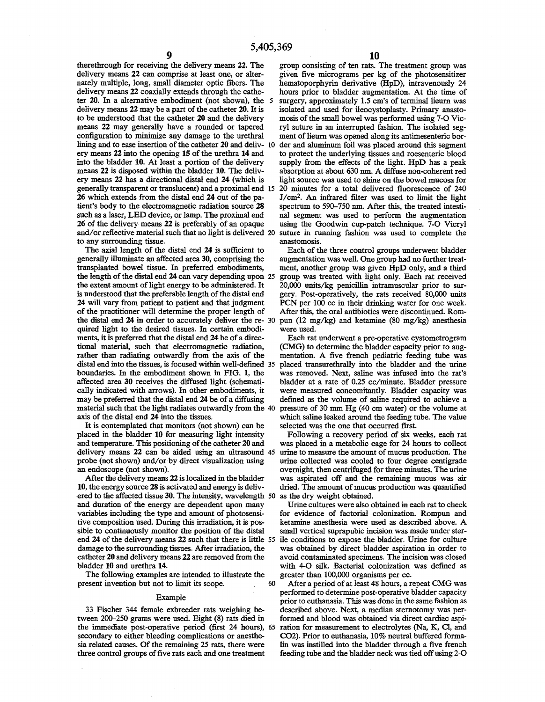therethrough for receiving the delivery means **22.** The delivery means **22** can comprise at least one, or alternately multiple, long, small diameter optic fibers. The delivery means **22** coaxially extends through the catheter **20.** In a alternative embodiment (not shown), the *5*  delivery means **22** may be a part of the catheter **20.** It is to be understood that the catheter **20** and the delivery means **22** may generally have a rounded or tapered configuration to minimize any damage to the urethral lining and to ease insertion of the catheter **20** and deliv- 10 der and aluminum foil was placed around this segment ery means **22** into the opening **15** of the urethra **14** and into the bladder **10.** At least a portion of the delivery means **22** is disposed within the bladder **10.** The delivery means **22** has a directional distal end **24** (which is generally transparent or translucent) and a proximal end 15 **26** which extends from the distal end **24** out of the patient's body to the electromagnetic radiation source **28**  such as a laser, LED device, or lamp. The proximal end **26** of the delivery means **22** is preferably of an opaque and/or reflective material such that no light is delivered 20 to any surrounding tissue.

The axial length of the distal end **24** is sufficient to generally illuminate an affected area **30,** comprising the transplanted bowel tissue. In preferred embodiments, the length of the distal end **24** can vary depending upon 25 the extent amount of light energy to be administered. It is understood that the preferable length of the distal end **24** will vary from patient to patient and that judgment of the practitioner will determine the proper length of the distal end 24 in order to accurately deliver the re- 30 pun (12 mg/kg) and ketamine (80 mg/kg) anesthesia quired light to the desired tissues. In certain embodiments, it is preferred that the distal end **24** be of a directional material, such that electromagnetic radiation, rather than radiating outwardly from the axis of the distal end into the tissues, is focused within well-defined 35 boundaries. In the embodiment shown in FIG. **1,** the affected area **30** receives the diffused light (schematically indicated with arrows). In other embodiments, it may be preferred that the distal end **24** be of a diffusing material such that the light radiates outwardly from the 40 axis of the distal end **24** into the tissues.

It is contemplated that monitors (not shown) can be placed in the bladder **10** for measuring light intensity and temperature. This positioning of the catheter **20** and delivery means **22** can be aided using an ultrasound 45 probe (not shown) and/or by direct visualization using an endoscope (not shown).

After the delivery means **22** is localized in the bladder **10,** the energy source **28** is activated and energy is delivered to the affected tissue **30.** The intensity, wavelength 50 and duration of the energy are dependent upon many variables including the type and amount of photosensitive composition used. During this irradiation, it is possible to continuously monitor the position of the distal end **24** of the delivery means **22** such that there is little *55*  damage to the surrounding tissues. After irradiation, the catheter 20 and delivery means **22** are removed from the bladder **10** and urethra **14.** 

The following examples are intended to illustrate the present invention but not to limit its scope. 60

#### Example

33 Fischer 344 female exbreeder rats weighing between 200-250 grams were used. Eight (8) rats died in the immediate post-operative period (first 24 hours), 65 secondary to either bleeding complications or anesthesia related causes. Of the remaining 25 rats, there were three control groups of five rats each and one treatment

group consisting of ten rats. The treatment group was given five micrograms per kg of the photosensitizer hematoporphyrin derivative (HpD), intravenously 24 hours prior to bladder augmentation. At the time of surgery, approximately 1.5 cm's of terminal lieurn was isolated and used for ileocystoplasty. Primary anastomosis of the small bowel was performed using 7-0 Vicryl suture in an interrupted fashion. The isolated segment of lieum was opened along its antimesenteric borto protect the underlying tissues and roesenteric blood supply from the effects of the light. HpD has a peak absorption at about 630 nm. A diffuse non-coherent red light source was used to shine on the bowel mucosa for 20 minutes for a total delivered fluorescence of 240 J/cm2. An infrared filter was used to limit the light spectrum to 590-750 nm. After this, the treated intestinal segment was used to perform the augmentation using the Goodwin cup-patch technique. 7-0 Vicryl suture in running fashion was used to complete the anastomosis.

Each of the three control groups underwent bladder augmentation was well. One group had no further treatment, another group was given HpD only, and a third group was treated with light only. Each rat received 20,000 units/kg penicillin intramuscular prior to surgery. Post-operatively, the rats received 80,000 units **PCN** per 100 cc in their drinking water for one week. After this, the oral antibiotics were discontinued. Romwere used.

Each rat underwent a pre-operative cystometrogram (CMG) to determine the bladder capacity prior to augmentation. A five french pediatric feeding tube was placed transurethrally into the bladder and the urine was removed. Next, saline was infused into the rat's bladder at a rate of 0.25 cc/minute. Bladder pressure were measured concomitantly. Bladder capacity was defined as the volume of saline required to achieve a pressure of 30 mm Hg (40 cm water) or the volume at which saline leaked around the feeding tube. The value selected was the one that occurred first.

Following a recovery period of six weeks, each rat was placed in a metabolic cage for 24 hours to collect urine to measure the amount of mucus production. The urine collected was cooled to four degree centigrade overnight, then centrifuged for three minutes. The urine was aspirated off and the remaining mucus was air dried. The amount of mucus production was quantified as the dry weight obtained.

Urine cultures were also obtained in each rat to check for evidence of factorial colonization. Rompun and ketamine anesthesia were used as described above. A small vertical suprapubic incision was made under sterile conditions to expose the bladder. Urine for culture was obtained by direct bladder aspiration in order to avoid contaminated specimens. The incision was closed with 4-0 silk. Bacterial colonization was defined as greater than 100,000 organisms per cc.

After a period of at least 48 hours, a repeat CMG was performed to determine post-operative bladder capacity prior to euthanasia. This was done in the same fashion as described above. Next, a median stemotomy was performed and blood was obtained via direct cardiac aspiration for measurement to electrolytes (Na, K, Cl, and CO2). Prior to euthanasia, 10% neutral buffered formalin was instilled into the bladder through a five french feeding tube and the bladder neck was tied off using 2-0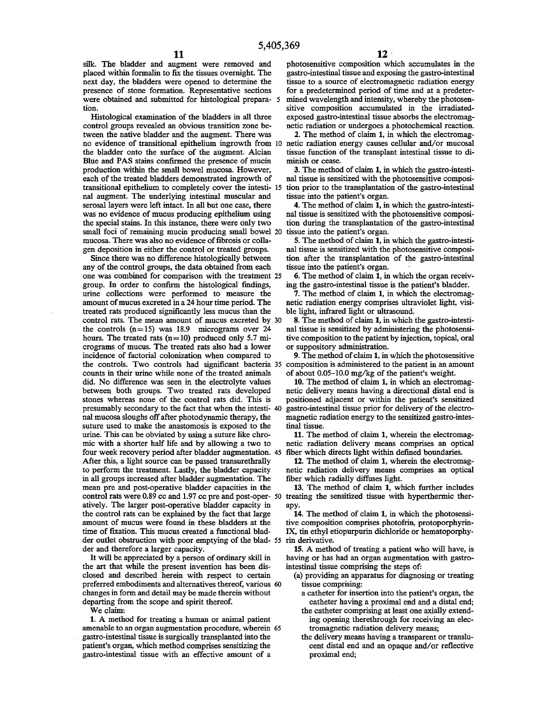**11 12 12 i 11 12 ight 12 ight 12 ight 12 ight 12 ight 12 ight 12 ight 12 ight 12 ight 12 ight ight ight ight ight ight ight ight ight ight ight ight** placed within formalin to fix the tissues overnight. The next day, the bladders were opened to determine the presence of stone formation. Representative sections were obtained and submitted for histological prepara- 5 tion.

Histological examination of the bladders in all three control groups revealed an obvious transition zone between the native bladder and the augment. There was no evidence of transitional epithelium ingrowth from 10 netic radiation energy causes cellular and/or mucosal the bladder onto the surface of the augment. Alcian Blue and PAS stains confirmed the presence of mucin production within the small bowel mucosa. However, each of the treated bladders demonstrated ingrowth of transitional epithelium to completely cover the intesti- 15 nal augment. The underlying intestinal muscular and serosal layers were left intact. In all but one case, there was no evidence of mucus producing epithelium using the special stains. In this instance, there were only two small foci of remaining mucin producing small bowel 20 mucosa. There was also no evidence of fibrosis or collagen deposition in either the control or treated groups.

Since there was no difference histologically between any of the control groups, the data obtained from each one was combined for comparison with the treatment 25 group. In order to confirm the histological findings, urine collections were performed to measure the amount of mucus excreted in a 24 hour time period. The treated rats produced significantly less mucus than the control rats. The mean amount of mucus excreted by 30 the controls  $(n=15)$  was 18.9 micrograms over 24 hours. The treated rats (n=IO) produced only 5.7 micrograms of mucus. The treated rats also had a lower incidence of factorial colonization when compared to the controls. Two controls had significant bacteria 35 composition is administered to the patient in an amount counts in their urine while none of the treated animals did. No difference was seen in the electrolyte values between both groups. Two treated rats developed stones whereas none of the control rats did. This is presumably secondary to the fact that when the intesti- 40 nal mucosa sloughs off after photodynamic therapy, the suture used to make the anastomosis is exposed to the urine. This can be obviated by using a suture like chromic with a shorter half life and by allowing a two to four week recovery period after bladder augmentation. 45 fiber which directs light within defined boundaries. After this, a light source can be passed transurethrally to perform the treatment. Lastly, the bladder capacity in all groups increased after bladder augmentation. The mean pre and post-operative bladder capacities in the control rats were 0.89 cc and 1.97 cc pre and post-oper- 50 treating the sensitized tissue with hyperthermic theratively. The larger post-operative bladder capacity in the control rats can be explained by the fact that large amount of mucus were found in these bladders at the time of fixation. This mucus created a functional bladder outlet obstruction with poor emptying of the blad- 55 rin derivative. der and therefore a larger capacity.

It will be appreciated by a person of ordinary skill in the art that while the present invention has been disclosed and described herein with respect to certain preferred embodiments and alternatives thereof, various 60 changes in form and detail may be made therein without departing from the scope and spirit thereof.

We claim:

**1.** A method for treating a human or animal patient amenable to an organ augmentation procedure, wherein 65 gastro-intestinal tissue is surgically transplanted into the patient's organ, which method comprises sensitizing the gastro-intestinal tissue with an effective amount of a

photosensitive composition which accumulates in the gastro-intestinal tissue and exposing the gastro-intestinal tissue to a source of electromagnetic radiation energy for a predetermined period of time and at a predetermined wavelength and intensity, whereby the photosensitive composition accumulated in the irradiatedexposed gastro-intestinal tissue absorbs the electromagnetic radiation or undergoes a photochemical reaction.

**2.** The method of claim **1,** in which the electromagtissue function of the transplant intestinal tissue to diminish or cease.

**3.** The method of claim **1,** in which the gastro-intestinal tissue is sensitized with the photosensitive composition prior to the transplantation of the gastro-intestinal tissue into the patient's organ.

**4.** The method of claim **1,** in which the gastro-intestinal tissue is sensitized with the photosensitive composition during the transplantation of the gastro-intestinal tissue into the patient's organ.

**5.** The method of claim **1,** in which the gastro-intestinal tissue is sensitized with the photosensitive composition after the transplantation of the gastro-intestinal tissue into the patient's organ.

**6.** The method of claim **1,** in which the organ receiving the gastro-intestinal tissue is the patient's bladder.

**7.** The method of claim **1,** in which the electromagnetic radiation energy comprises ultraviolet light, visible light, infrared light or ultrasound.

**8.** The method of claim **1,** in which the gastro-intestinal tissue is sensitized by administering the photosensitive composition to the patient by injection, topical, oral or suppository administration.

**9.** The method of claim **1,** in which the photosensitive of about 0.05-10.0 mg/kg of the patient's weight.

**10.** The method of claim **1,** in which an electromagnetic delivery means having a directional distal end is positioned adjacent or within the patient's sensitized gastro-intestinal tissue prior for delivery of the electromagnetic radiation energy to the sensitized gastro-intestinal tissue.

**11.** The method of claim **1,** wherein the electromagnetic radiation delivery means comprises an optical

**12.** The method of claim **1,** wherein the electromagnetic radiation delivery means comprises an optical fiber which radially diffuses light.

**13.** The method of claim **1,** which further includes apy.

**14.** The method of claim **1,** in which the photosensitive composition comprises photofrin, protoporphyrin-IX, tin ethyl etiopurpurin dichloride or hematoporphy-

**15. A** method of treating a patient who will have, is having or has had an organ augmentation with gastrointestinal tissue comprising the steps of:

- (a) providing an apparatus for diagnosing or treating tissue comprising:
	- a catheter for insertion into the patient's organ, the catheter having a proximal end and a distal end;
	- the catheter comprising at least one axially extending opening therethrough for receiving an electromagnetic radiation delivery means;
	- the delivery means having a transparent or translucent distal end and an opaque and/or reflective proximal end;